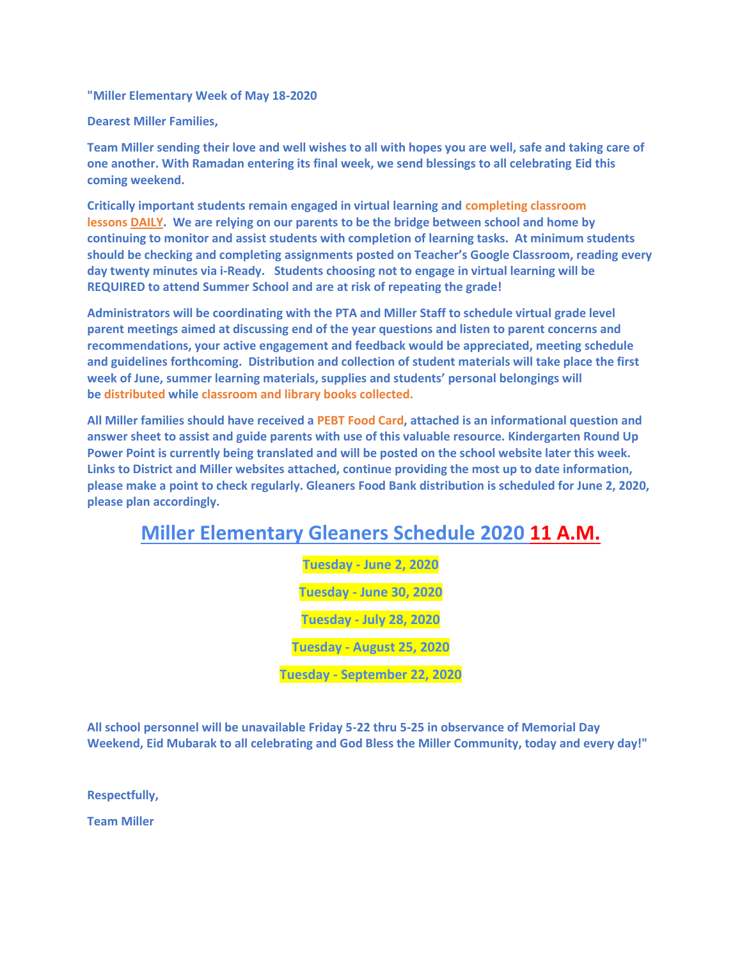**"Miller Elementary Week of May 18-2020**

**Dearest Miller Families,**

**Team Miller sending their love and well wishes to all with hopes you are well, safe and taking care of one another. With Ramadan entering its final week, we send blessings to all celebrating Eid this coming weekend.**

**Critically important students remain engaged in virtual learning and completing classroom lessons DAILY. We are relying on our parents to be the bridge between school and home by continuing to monitor and assist students with completion of learning tasks. At minimum students should be checking and completing assignments posted on Teacher's Google Classroom, reading every day twenty minutes via i-Ready. Students choosing not to engage in virtual learning will be REQUIRED to attend Summer School and are at risk of repeating the grade!**

**Administrators will be coordinating with the PTA and Miller Staff to schedule virtual grade level parent meetings aimed at discussing end of the year questions and listen to parent concerns and recommendations, your active engagement and feedback would be appreciated, meeting schedule and guidelines forthcoming. Distribution and collection of student materials will take place the first week of June, summer learning materials, supplies and students' personal belongings will be distributed while classroom and library books collected.**

**All Miller families should have received a PEBT Food Card, attached is an informational question and answer sheet to assist and guide parents with use of this valuable resource. Kindergarten Round Up Power Point is currently being translated and will be posted on the school website later this week. Links to District and Miller websites attached, continue providing the most up to date information, please make a point to check regularly. Gleaners Food Bank distribution is scheduled for June 2, 2020, please plan accordingly.**

## **Miller Elementary Gleaners Schedule 2020 11 A.M.**

**Tuesday - June 2, 2020 Tuesday - June 30, 2020 Tuesday - July 28, 2020 Tuesday - August 25, 2020 Tuesday - September 22, 2020**

**All school personnel will be unavailable Friday 5-22 thru 5-25 in observance of Memorial Day Weekend, Eid Mubarak to all celebrating and God Bless the Miller Community, today and every day!"**

**Respectfully,**

**Team Miller**